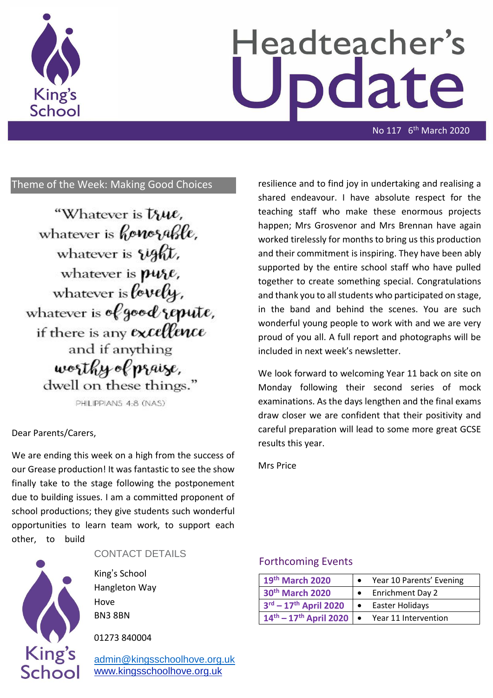

# Headteacher's date

No 117 6th March 2020

## Theme of the Week: Making Good Choices

"Whatever is true. whatever is *honosable*, whatever is vight, whatever is pure, whatever is lovely, whatever is of good repute, if there is any excellence and if anything worthy of pr*a*ize, dwell on these things."

PHILIPPIANS 4:8 (NAS)

#### Dear Parents/Carers,

We are ending this week on a high from the success of our Grease production! It was fantastic to see the show finally take to the stage following the postponement due to building issues. I am a committed proponent of school productions; they give students such wonderful opportunities to learn team work, to support each other, to build



#### CONTACT DETAILS

King's School Hangleton Way Hove BN3 8BN

01273 840004

[admin@kingsschoolhove.org.uk](mailto:admin@kingsschoolhove.org.uk) [www.kingsschoolhove.org.uk](http://www.kingsschoolhove.org.uk/)

resilience and to find joy in undertaking and realising a shared endeavour. I have absolute respect for the teaching staff who make these enormous projects happen; Mrs Grosvenor and Mrs Brennan have again worked tirelessly for months to bring us this production and their commitment is inspiring. They have been ably supported by the entire school staff who have pulled together to create something special. Congratulations and thank you to all students who participated on stage, in the band and behind the scenes. You are such wonderful young people to work with and we are very proud of you all. A full report and photographs will be included in next week's newsletter.

We look forward to welcoming Year 11 back on site on Monday following their second series of mock examinations. As the days lengthen and the final exams draw closer we are confident that their positivity and careful preparation will lead to some more great GCSE results this year.

Mrs Price

### Forthcoming Events

| 19th March 2020                |     | Year 10 Parents' Evening |
|--------------------------------|-----|--------------------------|
| 30th March 2020                |     | <b>Enrichment Day 2</b>  |
| $3^{rd} - 17^{th}$ April 2020  | ∣ ● | Easter Holidays          |
| $14^{th} - 17^{th}$ April 2020 |     | Year 11 Intervention     |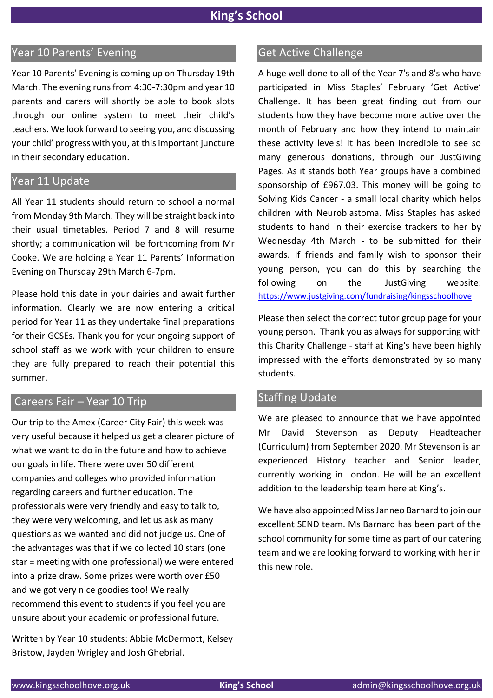## Year 10 Parents' Evening

Year 10 Parents' Evening is coming up on Thursday 19th March. The evening runs from 4:30-7:30pm and year 10 parents and carers will shortly be able to book slots through our online system to meet their child's teachers. We look forward to seeing you, and discussing your child' progress with you, at this important juncture in their secondary education.

### Year 11 Update

All Year 11 students should return to school a normal from Monday 9th March. They will be straight back into their usual timetables. Period 7 and 8 will resume shortly; a communication will be forthcoming from Mr Cooke. We are holding a Year 11 Parents' Information Evening on Thursday 29th March 6-7pm.

Please hold this date in your dairies and await further information. Clearly we are now entering a critical period for Year 11 as they undertake final preparations for their GCSEs. Thank you for your ongoing support of school staff as we work with your children to ensure they are fully prepared to reach their potential this summer.

## Careers Fair – Year 10 Trip

Our trip to the Amex (Career City Fair) this week was very useful because it helped us get a clearer picture of what we want to do in the future and how to achieve our goals in life. There were over 50 different companies and colleges who provided information regarding careers and further education. The professionals were very friendly and easy to talk to, they were very welcoming, and let us ask as many questions as we wanted and did not judge us. One of the advantages was that if we collected 10 stars (one star = meeting with one professional) we were entered into a prize draw. Some prizes were worth over £50 and we got very nice goodies too! We really recommend this event to students if you feel you are unsure about your academic or professional future.

Written by Year 10 students: Abbie McDermott, Kelsey Bristow, Jayden Wrigley and Josh Ghebrial.

## Get Active Challenge

A huge well done to all of the Year 7's and 8's who have participated in Miss Staples' February 'Get Active' Challenge. It has been great finding out from our students how they have become more active over the month of February and how they intend to maintain these activity levels! It has been incredible to see so many generous donations, through our JustGiving Pages. As it stands both Year groups have a combined sponsorship of £967.03. This money will be going to Solving Kids Cancer - a small local charity which helps children with Neuroblastoma. Miss Staples has asked students to hand in their exercise trackers to her by Wednesday 4th March - to be submitted for their awards. If friends and family wish to sponsor their young person, you can do this by searching the following on the JustGiving website: <https://www.justgiving.com/fundraising/kingsschoolhove>

Please then select the correct tutor group page for your young person. Thank you as always for supporting with this Charity Challenge - staff at King's have been highly impressed with the efforts demonstrated by so many students.

## Staffing Update

We are pleased to announce that we have appointed Mr David Stevenson as Deputy Headteacher (Curriculum) from September 2020. Mr Stevenson is an experienced History teacher and Senior leader, currently working in London. He will be an excellent addition to the leadership team here at King's.

We have also appointed Miss Janneo Barnard to join our excellent SEND team. Ms Barnard has been part of the school community for some time as part of our catering team and we are looking forward to working with her in this new role.